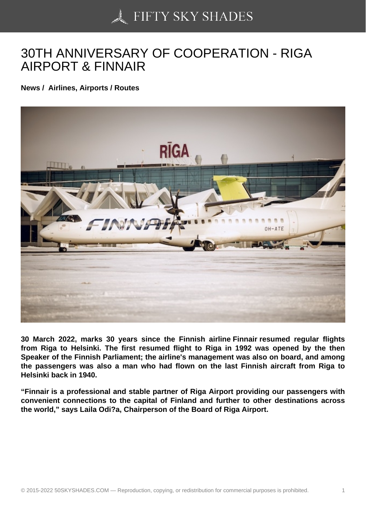## [30TH ANNIVERSARY](https://50skyshades.com) OF COOPERATION - RIGA AIRPORT & FINNAIR

News / Airlines, Airports / Routes

30 March 2022, marks 30 years since the Finnish airline Finnair resumed regular flights from Riga to Helsinki. The first resumed flight to Riga in 1992 was opened by the then Speaker of the Finnish Parliament; the airline's management was also on board, and among the passengers was also a man who had flown on the last Finnish aircraft from Riga to Helsinki back in 1940.

"Finnair is a professional and stable partner of Riga Airport providing our passengers with convenient connections to the capital of Finland and further to other destinations across the world," says Laila Odi?a, Chairperson of the Board of Riga Airport.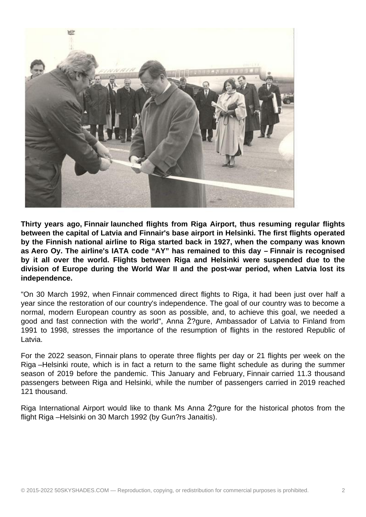

**Thirty years ago, Finnair launched flights from Riga Airport, thus resuming regular flights between the capital of Latvia and Finnair's base airport in Helsinki. The first flights operated by the Finnish national airline to Riga started back in 1927, when the company was known as Aero Oy. The airline's IATA code "AY" has remained to this day – Finnair is recognised by it all over the world. Flights between Riga and Helsinki were suspended due to the division of Europe during the World War II and the post-war period, when Latvia lost its independence.**

"On 30 March 1992, when Finnair commenced direct flights to Riga, it had been just over half a year since the restoration of our country's independence. The goal of our country was to become a normal, modern European country as soon as possible, and, to achieve this goal, we needed a good and fast connection with the world", Anna Ž?gure, Ambassador of Latvia to Finland from 1991 to 1998, stresses the importance of the resumption of flights in the restored Republic of Latvia.

For the 2022 season, Finnair plans to operate three flights per day or 21 flights per week on the Riga –Helsinki route, which is in fact a return to the same flight schedule as during the summer season of 2019 before the pandemic. This January and February, Finnair carried 11.3 thousand passengers between Riga and Helsinki, while the number of passengers carried in 2019 reached 121 thousand.

Riga International Airport would like to thank Ms Anna Ž?gure for the historical photos from the flight Riga –Helsinki on 30 March 1992 (by Gun?rs Janaitis).